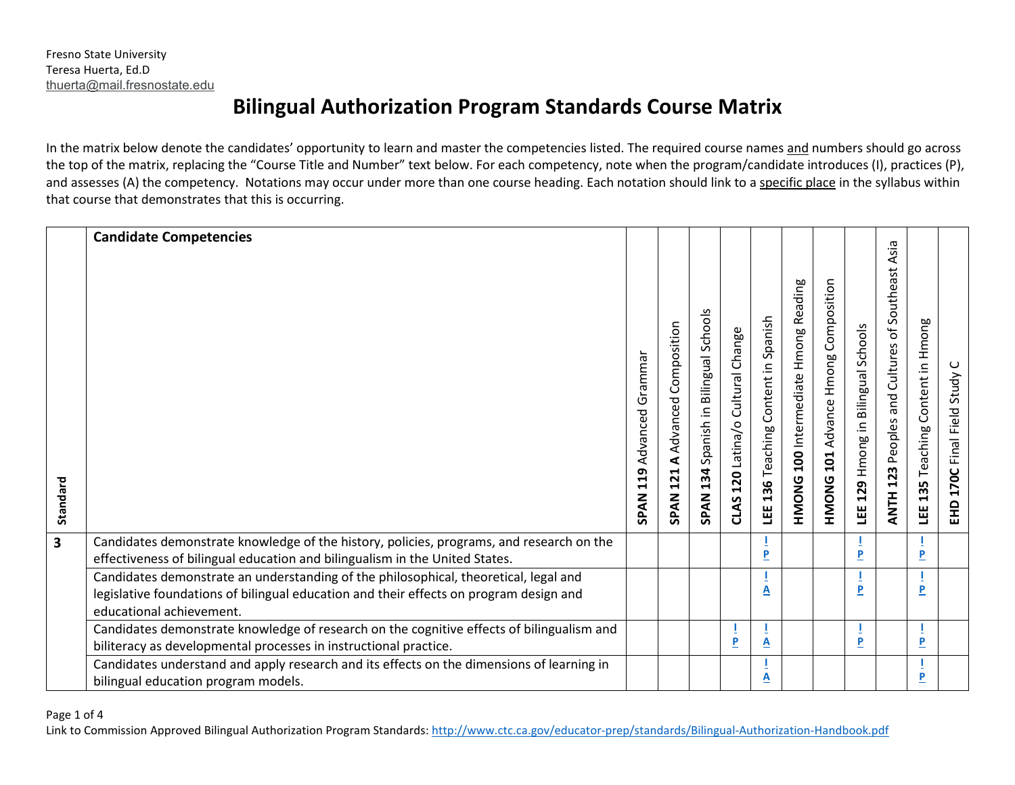## **Bilingual Authorization Program Standards Course Matrix**

In the matrix below denote the candidates' opportunity to learn and master the competencies listed. The required course names and numbers should go across the top of the matrix, replacing the "Course Title and Number" text below. For each competency, note when the program/candidate introduces (I), practices (P), and assesses (A) the competency. Notations may occur under more than one course heading. Each notation should link to a specific place in the syllabus within that course that demonstrates that this is occurring.

|                         | <b>Candidate Competencies</b>                                                                                                                                                                              |                                           |                                                                    |                                                       |                                      |                                        |                                             |                                                  |                                    |                                                    |                                   |                                        |
|-------------------------|------------------------------------------------------------------------------------------------------------------------------------------------------------------------------------------------------------|-------------------------------------------|--------------------------------------------------------------------|-------------------------------------------------------|--------------------------------------|----------------------------------------|---------------------------------------------|--------------------------------------------------|------------------------------------|----------------------------------------------------|-----------------------------------|----------------------------------------|
| Standard                |                                                                                                                                                                                                            | Grammar<br>Advanced<br>119<br><b>SPAN</b> | Composition<br>Advanced<br>$\blacktriangleleft$<br><b>SPAN 121</b> | Schools<br>Spanish in Bilingual<br>134<br><b>SPAN</b> | Cultural Change<br>CLAS 120 Latina/o | Content in Spanish<br>LEE 136 Teaching | <b>HMONG 100</b> Intermediate Hmong Reading | Hmong Composition<br>101 Advance<br><b>HMONG</b> | LEE 129 Hmong in Bilingual Schools | Asia<br>ANTH 123 Peoples and Cultures of Southeast | LEE 135 Teaching Content in Hmong | ပ<br>Study<br>Final Field<br>170C<br>E |
| $\overline{\mathbf{3}}$ | Candidates demonstrate knowledge of the history, policies, programs, and research on the<br>effectiveness of bilingual education and bilingualism in the United States.                                    |                                           |                                                                    |                                                       |                                      | P                                      |                                             |                                                  | P                                  |                                                    | т<br>P                            |                                        |
|                         | Candidates demonstrate an understanding of the philosophical, theoretical, legal and<br>legislative foundations of bilingual education and their effects on program design and<br>educational achievement. |                                           |                                                                    |                                                       |                                      | $\overline{\mathbf{A}}$                |                                             |                                                  | P                                  |                                                    | $\overline{P}$                    |                                        |
|                         | Candidates demonstrate knowledge of research on the cognitive effects of bilingualism and<br>biliteracy as developmental processes in instructional practice.                                              |                                           |                                                                    |                                                       | P                                    | $\mathbf{A}$                           |                                             |                                                  | P                                  |                                                    | T<br>P                            |                                        |
|                         | Candidates understand and apply research and its effects on the dimensions of learning in<br>bilingual education program models.                                                                           |                                           |                                                                    |                                                       |                                      | А                                      |                                             |                                                  |                                    |                                                    | T<br>P                            |                                        |

Page 1 of 4

Link to Commission Approved Bilingual Authorization Program Standards:<http://www.ctc.ca.gov/educator-prep/standards/Bilingual-Authorization-Handbook.pdf>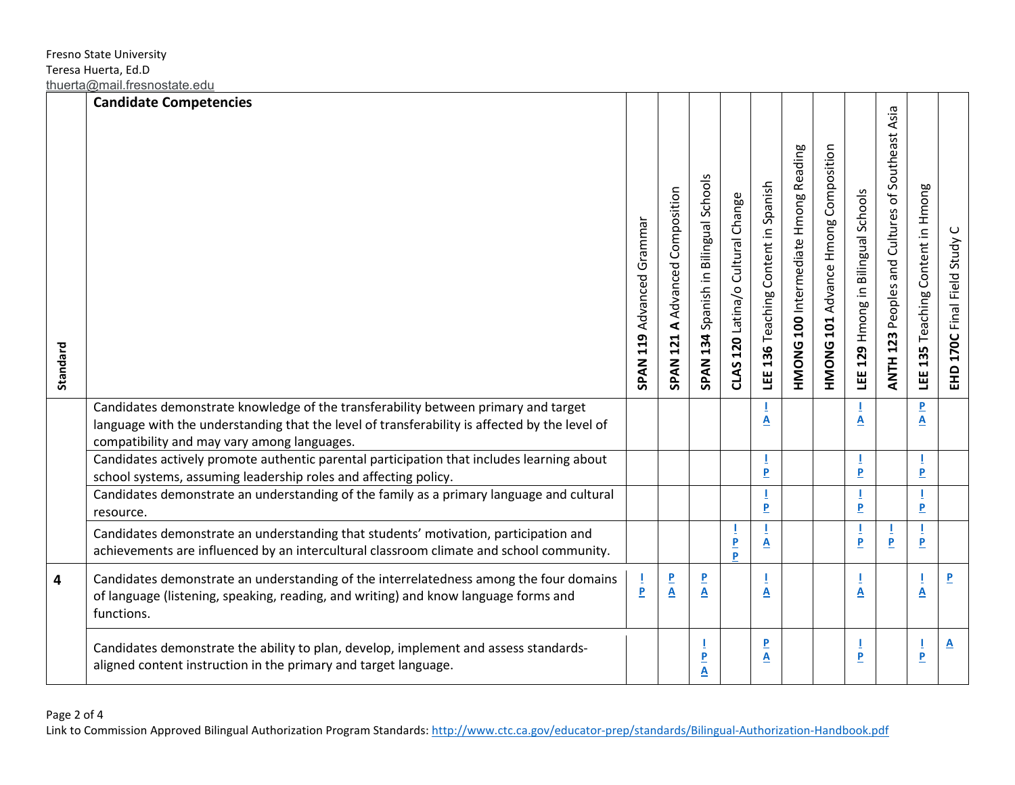| Standard |                                                                                                                                                                                                                                    | SPAN 119 Advanced Grammar | A Advanced Composition<br><b>SPAN 121</b> | SPAN 134 Spanish in Bilingual Schools | CLAS 120 Latina/o Cultural Change | LEE 136 Teaching Content in Spanish | <b>HMONG 100</b> Intermediate Hmong Reading | <b>HMONG 101 Advance Hmong Composition</b> | LEE 129 Hmong in Bilingual Schools | ANTH 123 Peoples and Cultures of Southeast Asia | Content in Hmong<br>135 Teaching<br>ΗĒ | EHD 170C Final Field Study |
|----------|------------------------------------------------------------------------------------------------------------------------------------------------------------------------------------------------------------------------------------|---------------------------|-------------------------------------------|---------------------------------------|-----------------------------------|-------------------------------------|---------------------------------------------|--------------------------------------------|------------------------------------|-------------------------------------------------|----------------------------------------|----------------------------|
|          | Candidates demonstrate knowledge of the transferability between primary and target<br>language with the understanding that the level of transferability is affected by the level of<br>compatibility and may vary among languages. |                           |                                           |                                       |                                   | А                                   |                                             |                                            | A                                  |                                                 | P<br>$\overline{\mathbf{A}}$           |                            |
|          | Candidates actively promote authentic parental participation that includes learning about<br>school systems, assuming leadership roles and affecting policy.                                                                       |                           |                                           |                                       |                                   | 1<br>P                              |                                             |                                            | $\overline{P}$                     |                                                 | P                                      |                            |
|          | Candidates demonstrate an understanding of the family as a primary language and cultural<br>resource.                                                                                                                              |                           |                                           |                                       |                                   | I<br>$\overline{\mathsf{P}}$        |                                             |                                            | $\pmb{\mathsf{P}}$                 |                                                 | P                                      |                            |
|          | Candidates demonstrate an understanding that students' motivation, participation and<br>achievements are influenced by an intercultural classroom climate and school community.                                                    |                           |                                           |                                       | L<br>$\overline{P}$<br>Þ          | 1<br>A                              |                                             |                                            | 1<br>$\mathbf{P}$                  | 1<br>P                                          | $\overline{P}$                         |                            |
| 4        | Candidates demonstrate an understanding of the interrelatedness among the four domains<br>of language (listening, speaking, reading, and writing) and know language forms and<br>functions.                                        | $\frac{1}{P}$             | $\frac{P}{\underline{A}}$                 | $\frac{P}{A}$                         |                                   | $\overline{\mathbf{A}}$             |                                             |                                            | $\overline{\mathbf{A}}$            |                                                 | $\overline{\mathbf{A}}$                | P.                         |
|          | Candidates demonstrate the ability to plan, develop, implement and assess standards-<br>aligned content instruction in the primary and target language.                                                                            |                           |                                           | Т<br>P<br>A                           |                                   | P<br><u>A</u>                       |                                             |                                            | $\overline{P}$                     |                                                 | L<br>$\overline{P}$                    | <u>A</u>                   |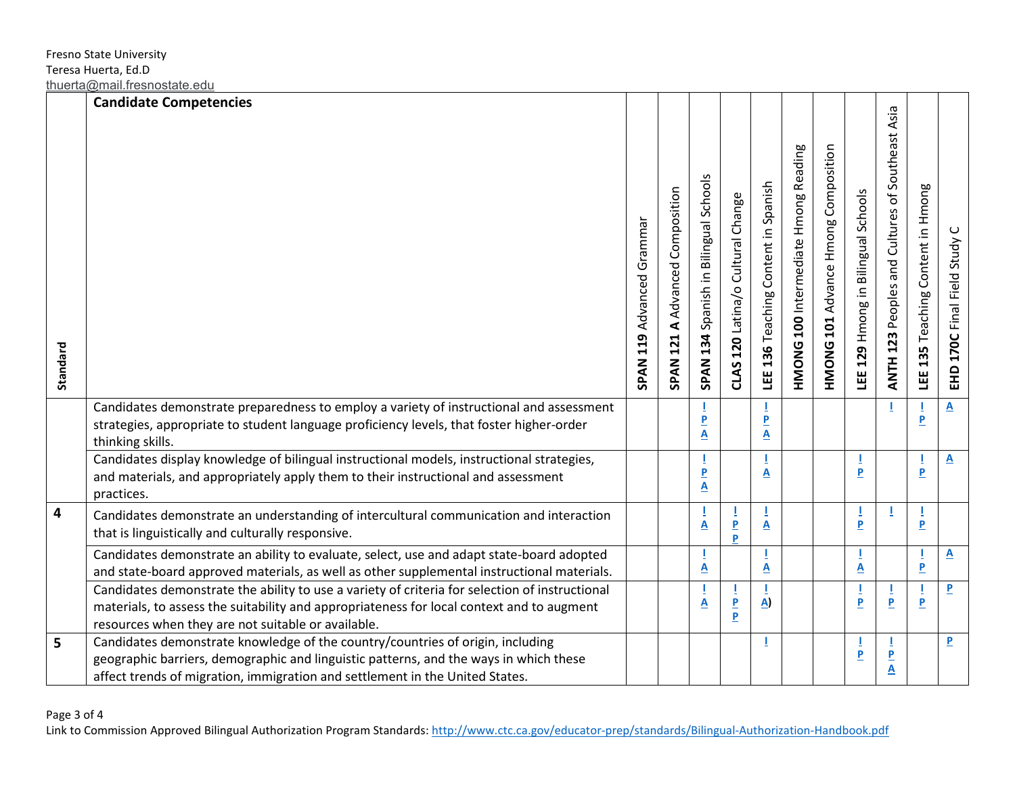|          | <b>Candidate Competencies</b>                                                                                                                                                                                                                           |                           |                                                                       |                                               |                                       |                                     |                                             |                                            |                                    |                                                 |                                   |                            |
|----------|---------------------------------------------------------------------------------------------------------------------------------------------------------------------------------------------------------------------------------------------------------|---------------------------|-----------------------------------------------------------------------|-----------------------------------------------|---------------------------------------|-------------------------------------|---------------------------------------------|--------------------------------------------|------------------------------------|-------------------------------------------------|-----------------------------------|----------------------------|
| Standard |                                                                                                                                                                                                                                                         | SPAN 119 Advanced Grammar | Composition<br>Advanced<br>$\blacktriangleleft$<br>121<br><b>SPAN</b> | SPAN 134 Spanish in Bilingual Schools         | CLAS 120 Latina/o Cultural Change     | LEE 136 Teaching Content in Spanish | <b>HMONG 100</b> Intermediate Hmong Reading | <b>HMONG 101 Advance Hmong Composition</b> | LEE 129 Hmong in Bilingual Schools | ANTH 123 Peoples and Cultures of Southeast Asia | LEE 135 Teaching Content in Hmong | EHD 170C Final Field Study |
|          | Candidates demonstrate preparedness to employ a variety of instructional and assessment                                                                                                                                                                 |                           |                                                                       |                                               |                                       |                                     |                                             |                                            |                                    |                                                 |                                   | $\overline{\mathbf{A}}$    |
|          | strategies, appropriate to student language proficiency levels, that foster higher-order<br>thinking skills.                                                                                                                                            |                           |                                                                       | P<br>$\overline{\mathbf{A}}$                  |                                       | P<br>$\overline{\mathbf{A}}$        |                                             |                                            |                                    |                                                 | $\overline{\mathbf{P}}$           |                            |
|          | Candidates display knowledge of bilingual instructional models, instructional strategies,<br>and materials, and appropriately apply them to their instructional and assessment<br>practices.                                                            |                           |                                                                       | $\pmb{\mathsf{P}}$<br>$\overline{\mathbf{A}}$ |                                       | 1<br>A                              |                                             |                                            | $\overline{P}$                     |                                                 | $\mathbf{P}$                      | $\mathbf{A}$               |
| 4        | Candidates demonstrate an understanding of intercultural communication and interaction<br>that is linguistically and culturally responsive.                                                                                                             |                           |                                                                       | $\overline{\mathbf{A}}$                       | P<br>P.                               | A                                   |                                             |                                            | $\overline{P}$                     | T                                               | $\overline{P}$                    |                            |
|          | Candidates demonstrate an ability to evaluate, select, use and adapt state-board adopted<br>and state-board approved materials, as well as other supplemental instructional materials.                                                                  |                           |                                                                       | Ī<br>$\underline{\mathbf{A}}$                 |                                       | $\underline{\mathsf{A}}$            |                                             |                                            | $\underline{\mathbf{A}}$           |                                                 | $\overline{\mathbf{P}}$           | $\overline{\mathbf{A}}$    |
|          | Candidates demonstrate the ability to use a variety of criteria for selection of instructional<br>materials, to assess the suitability and appropriateness for local context and to augment<br>resources when they are not suitable or available.       |                           |                                                                       | $\overline{\mathbf{A}}$                       | ı<br>$\overline{P}$<br>$\overline{P}$ | A)                                  |                                             |                                            | $\overline{P}$                     | L<br>$\overline{\mathbf{P}}$                    | $\mathbf{P}$                      | $\overline{\mathbf{P}}$    |
| 5        | Candidates demonstrate knowledge of the country/countries of origin, including<br>geographic barriers, demographic and linguistic patterns, and the ways in which these<br>affect trends of migration, immigration and settlement in the United States. |                           |                                                                       |                                               |                                       |                                     |                                             |                                            | $\overline{P}$                     | P<br>$\overline{\mathbf{A}}$                    |                                   | $\overline{P}$             |